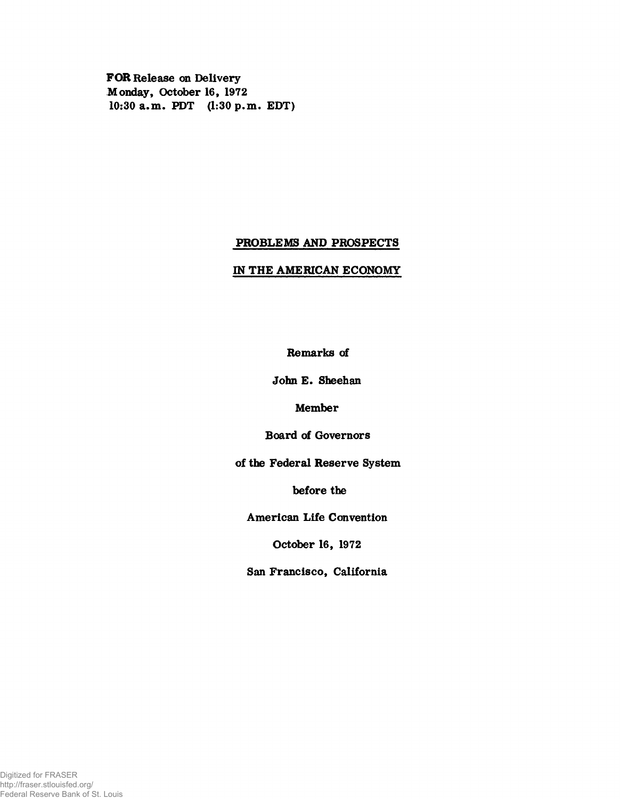FOR Release on Delivery Monday» October 16, 1972 10:30 a.m. PDT (1:30 p.m. EDT)

# PROBLEMS AND PROSPECTS

# IN THE AMERICAN ECONOMY

Remarks of

John E. Sheehan

Member

Board of Governors

of the Federal Reserve System

before the

American Life Convention

October 16, 1972

San Francisco, California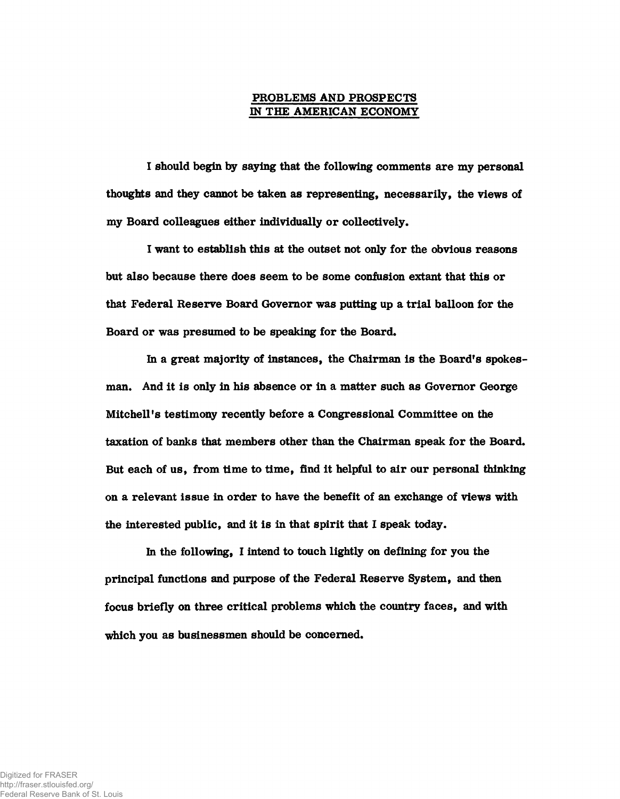# PROBLEMS AND PROSPECTS *m* THE AMERICAN ECONOMY

I should begin by saying that the following comments are my personal thoughts and they cannot be taken as representing, necessarily, the views of my Board colleagues either individually or collectively.

I want to establish this at the outset not only for the obvious reasons but also because there does seem to be some confusion extant that this or that Federal Reserve Board Governor was putting up a trial balloon for the Board or was presumed to be speaking for the Board.

In a great majority of instances, the Chairman is the Board's spokesman. And it is only in his absence or in a matter such as Governor George Mitchell's testimony recently before a Congressional Committee on the taxation of banks that members other than the Chairman speak for the Board. But each of us, from time to time, find it helpful to air our personal thinking on a relevant issue in order to have the benefit of an exchange of views with the interested public, and it is in that spirit that I speak today.

In the following, I intend to touch lightly on defining for you the principal functions and purpose of the Federal Reserve System, and then focus briefly on three critical problems which the country faces, and with which you as businessmen should be concerned.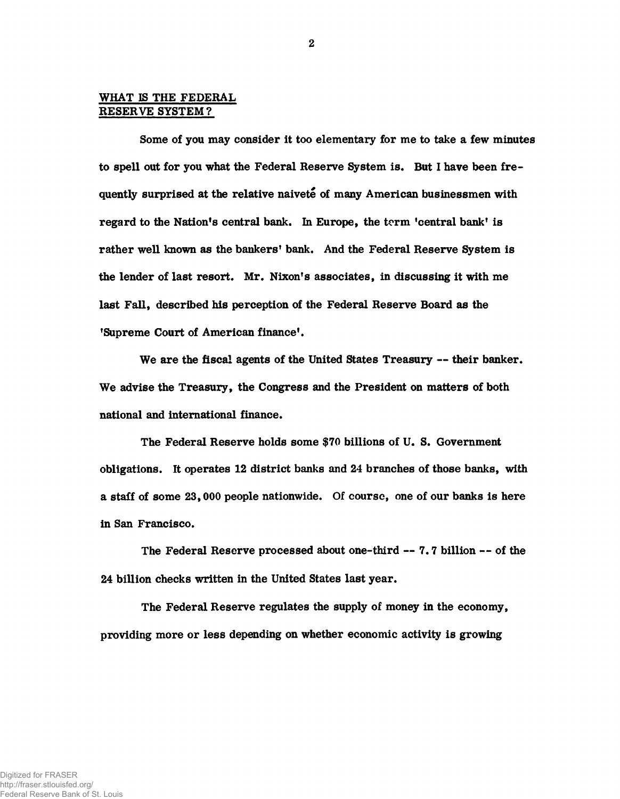# WHAT IS THE FEDERAL RESERVE SYSTEM?

Some of you may consider it too elementary for me to take a few minutes to spell out for you what the Federal Reserve System is. But I have been frequently surprised at the relative naivete of many American businessmen with regard to the Nation's central bank. In Europe, the term 'central bank' is rather well known as the bankers' bank. And the Federal Reserve System is the lender of last resort. Mr. Nixon's associates, in discussing it with me last Fall, described his perception of the Federal Reserve Board as the 'Supreme Court of American finance'.

We are the fiscal agents of the United States Treasury — their banker. We advise the Treasury, the Congress and the President on matters of both national and international finance.

The Federal Reserve holds some \$70 billions of U. S. Government obligations. It operates 12 district banks and 24 branches of those banks, with a staff of some 23,000 people nationwide. Of coursc, one of our banks is here in San Francisco.

The Federal Reserve processed about one-third — 7.7 billion — of the 24 billion checks written in the United States last year.

The Federal Reserve regulates the supply of money in the economy, providing more or less depending on whether economic activity is growing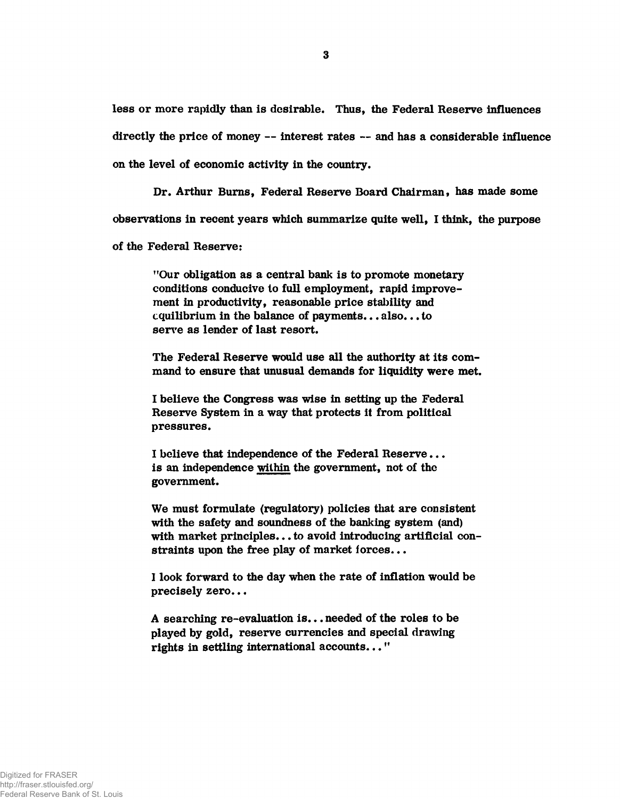less or more rapidly than is desirable. Thus, the Federal Reserve influences directly the price of money — interest rates — and has a considerable influence on the level of economic activity in the country.

Dr. Arthur Burns, Federal Reserve Board Chairman, has made some

observations in recent years which summarize quite well, I think, the purpose

of the Federal Reserve:

"Our obligation as a central bank is to promote monetary conditions conducive to full employment, rapid improvement in productivity, reasonable price stability and equilibrium in the balance of payments... also... to serve as lender of last resort.

The Federal Reserve would use all the authority at its command to ensure that unusual demands for liquidity were met.

I believe the Congress was wise in setting up the Federal Reserve System in a way that protects it from political pressures.

I believe that independence of the Federal Reserve... is an independence within the government, not of the government.

We must formulate (regulatory) policies that are consistent with the safety and soundness of the banking system (and) with market principles... to avoid introducing artificial constraints upon the free play of market forces...

I look forward to the day when the rate of inflation would be precisely zero...

A searching re-evaluation is... needed of the roles to be played by gold, reserve currencies and special drawing rights in settling international accounts..."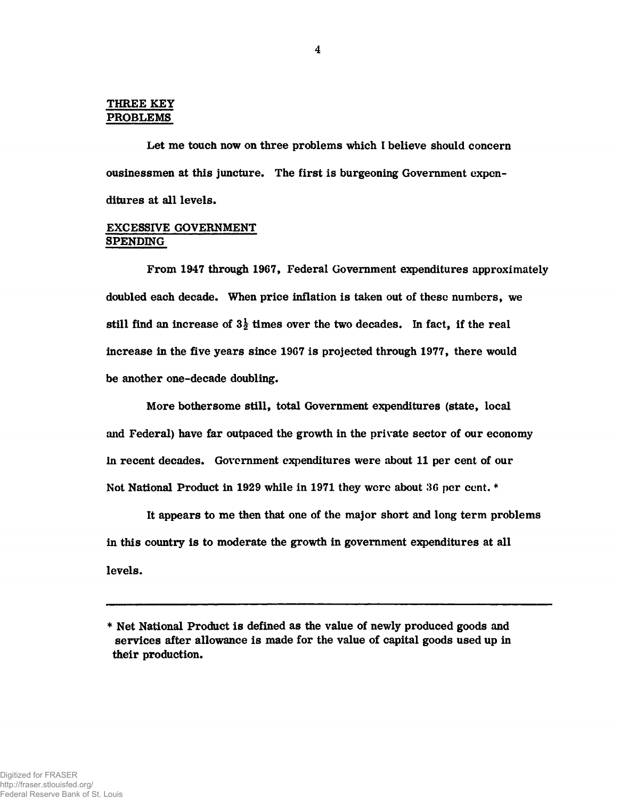#### THREE KEY PROBLEMS

Let me touch now on three problems which I believe should concern ousinessmen at this juncture. The first is burgeoning Government expenditures at all levels.

# EXCESSIVE GOVERNMENT SPENDING

From 1947 through 1967, Federal Government expenditures approximately doubled each decade. When price inflation is taken out of these numbers, we still find an increase of  $3\frac{1}{2}$  times over the two decades. In fact, if the real increase in the five years since 1967 is projected through 1977, there would be another one-decade doubling.

More bothersome still, total Government expenditures (state, local and Federal) have far outpaced the growth in the private sector of our economy in recent decades. Government expenditures were about 11 per cent of our Not National Product in 1929 while in 1971 they were about 30 per cent. \*

It appears to me then that one of the major short and long term problems in this country is to moderate the growth in government expenditures at all levels.

<sup>\*</sup> Net National Product is defined as the value of newly produced goods and services after allowance is made for the value of capital goods used up in their production.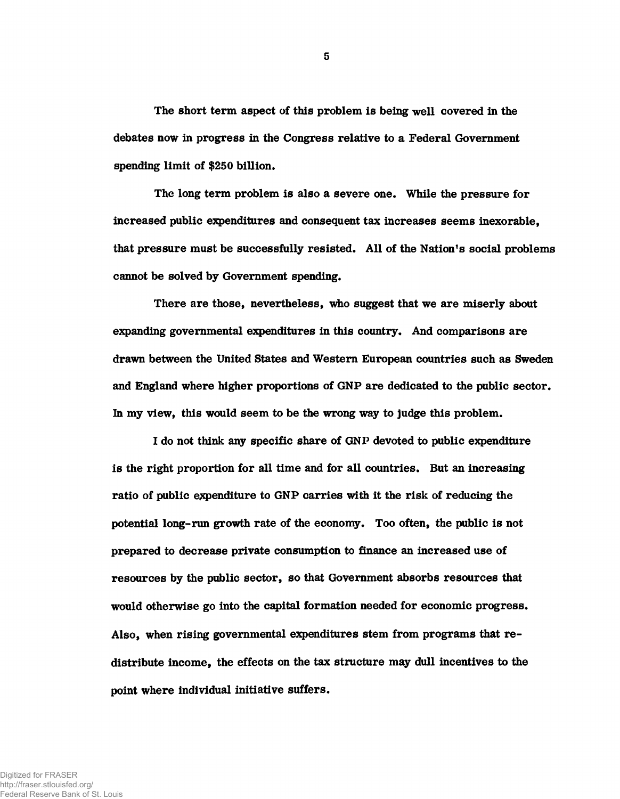The short term aspect of this problem is being well covered in the debates now in progress in the Congress relative to a Federal Government spending limit of \$250 billion.

The long term problem is also a severe one. While the pressure for increased public expenditures and consequent tax increases seems inexorable, that pressure must be successfully resisted. All of the Nation's social problems cannot be solved by Government spending.

There are those, nevertheless, who suggest that we are miserly about expanding governmental expenditures in this country. And comparisons are drawn between the United States and Western European countries such as Sweden and England where higher proportions of GNP are dedicated to the public sector. In my view, this would seem to be the wrong way to judge this problem.

I do not think any specific share of GNP devoted to public expenditure is the right proportion for all time and for all countries. But an increasing ratio of public expenditure to GNP carries with it the risk of reducing the potential **long-run** growth rate of the economy. Too often, the public is not prepared to decrease private consumption to finance an increased use of resources by the public sector, so that Government absorbs resources that would otherwise go into the capital formation needed for economic progress. Also, when rising governmental expenditures stem from programs that redistribute income, the effects on the tax structure may dull incentives to the point where individual initiative suffers.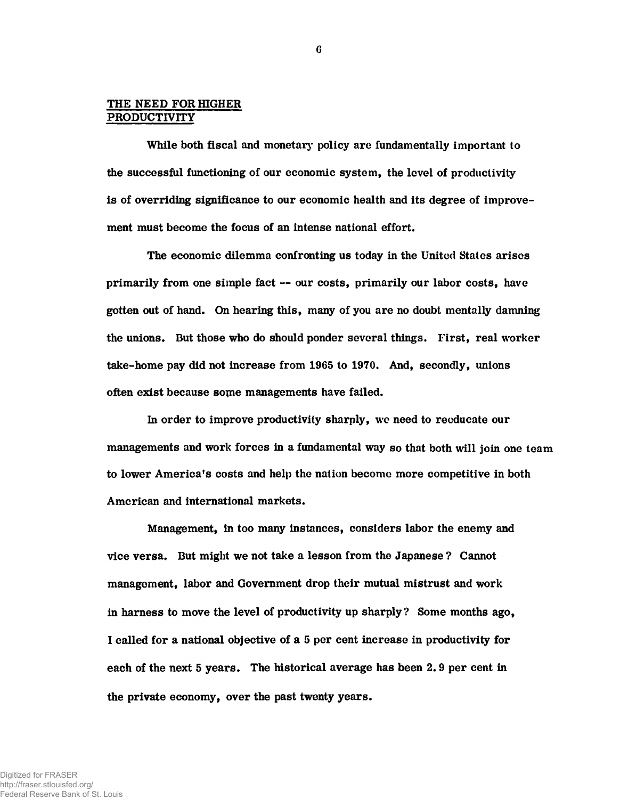### THE NEED FOR HIGHER PRODUCTIVITY

While both fiscal and monetary policy are fundamentally important to the successful functioning of our economic system, the level of productivity is of overriding significance to our economic health and its degree of improvement must become the focus of an intense national effort.

The economic dilemma confronting us today in the United States arises primarily from one simple fact — our costs, primarily our labor costs, have gotten out of hand. On hearing this, many of you are no doubt mentally damning the unions. But those who do should ponder several things. First, real worker take-home pay did not increase from 1965 to 1970. And, secondly, unions often exist because some managements have failed.

In order to improve productivity sharply, we need to reeducate our managements and work forces in a fundamental way so that both will join one team to lower America's costs and help the nation become more competitive in both American and international markets.

Management, in too many instances, considers labor the enemy and vice versa. But might we not take a lesson from the Japanese ? Cannot management, labor and Government drop their mutual mistrust and work in harness to move the level of productivity up sharply? Some months ago, I called for a national objective of a 5 per cent increase in productivity for each of the next 5 years. The historical average has been 2.9 per cent in the private economy, over the past twenty years.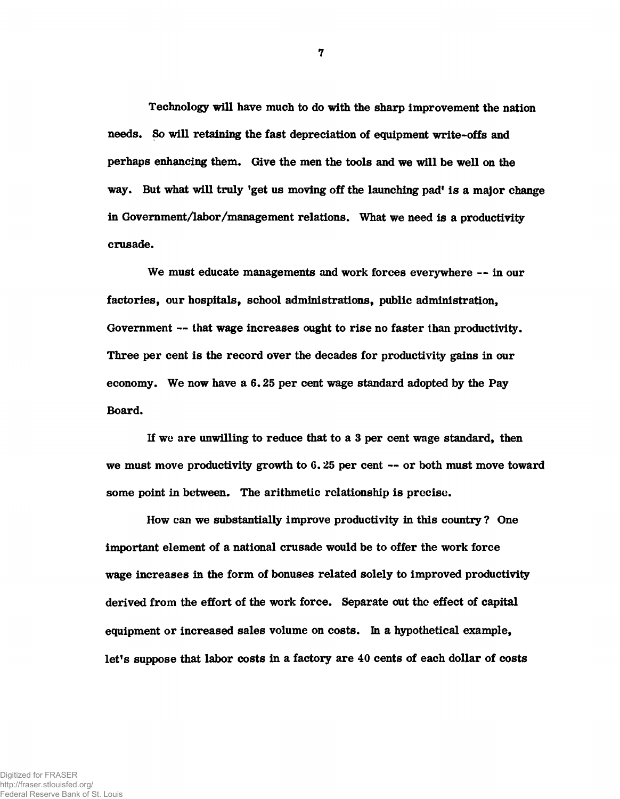Technology will have much to do with the sharp improvement the nation needs. So will retaining the fast depreciation of equipment write-offs and perhaps enhancing them. Give the men the tools and we will be well on the way. But what will truly 'get us moving off the launching pad' is a major change in Government/labor/management relations. What we need is a productivity crusade.

We must educate managements and work forces everywhere -- in our factories, our hospitals, school administrations, public administration, Government — that wage increases ought to rise no faster than productivity. Three per cent is the record over the decades for productivity gains in our economy. We now have a 6.25 per cent wage standard adopted by the Pay Board.

If we are unwilling to reduce that to a 3 per cent wage standard, then we must move productivity growth to 6.25 per cent -- or both must move toward some point in between. The arithmetic relationship is precise.

How can we substantially improve productivity in this country ? One important element of a national crusade would be to offer the work force wage increases in the form of bonuses related solely to improved productivity derived from the effort of the work force. Separate out the effect of capital equipment or increased sales volume on costs. In a hypothetical example, let's suppose that labor costs in a factory are 40 cents of each dollar of costs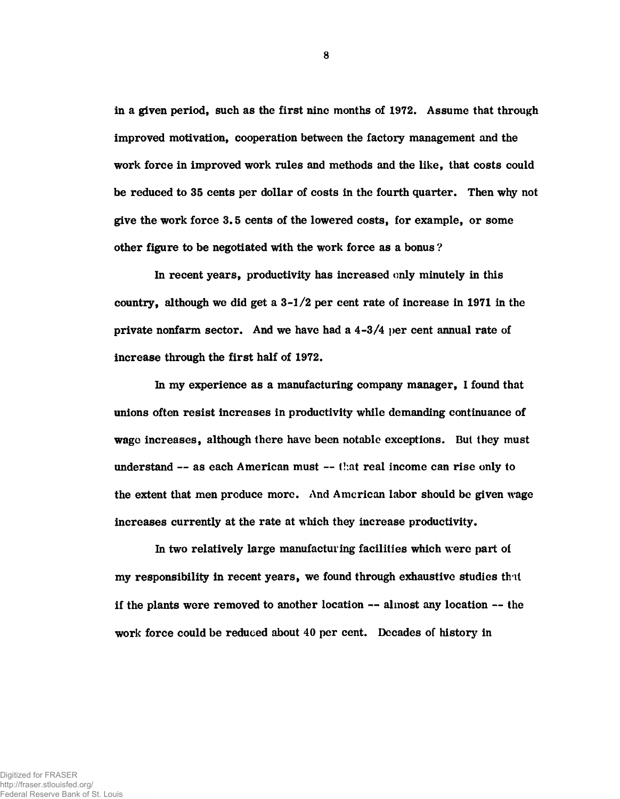in a given period, such as the first nine months of 1972. Assume that through improved motivation, cooperation between the factory management and the work force in improved work rules and methods and the like, that costs could be reduced to 35 cents per dollar of costs in the fourth quarter. Then why not give the work force 3.5 cents of the lowered costs, for example, or some other figure to be negotiated with the work force as a bonus ?

In recent years, productivity has increased only minutely in this country, although we did get a  $3-1/2$  per cent rate of increase in 1971 in the private nonfarm sector. And we have had a  $4-3/4$  per cent annual rate of increase through the first half of 1972.

In my experience as a manufacturing company manager, I found that unions often resist increases in productivity while demanding continuance of wage increases, although there have been notable exceptions. But they must understand -- as each American must -- that real income can rise only to the extent that men produce more. And American labor should be given wage increases currently at the rate at which they increase productivity.

In two relatively large manufacturing facilities which were part oi my responsibility in recent years, we found through exhaustive studies th it if the plants were removed to another location — almost any location — the work force could be reduced about 40 per cent. Decades of history in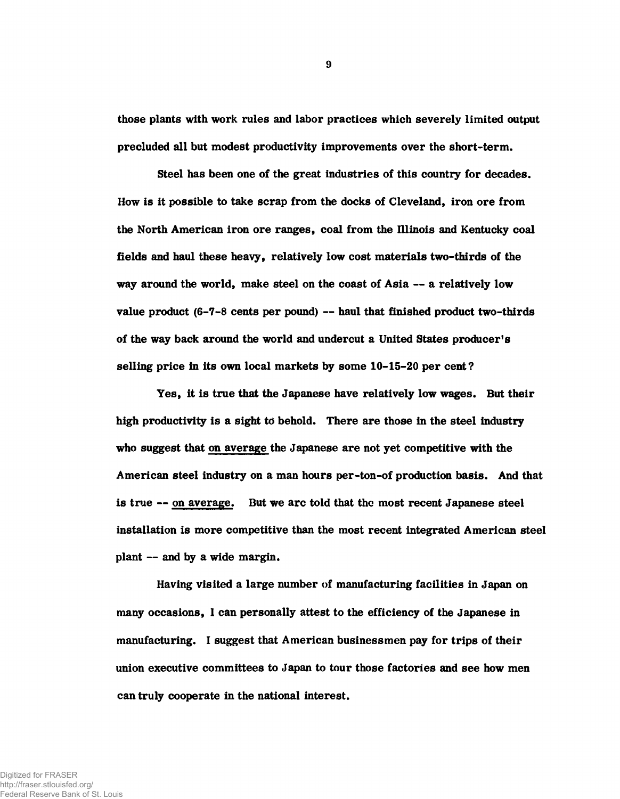those plants with work rules and labor practices which severely limited output precluded all but modest productivity improvements over the short-term.

Steel has been one of the great industries of this country for decades. How is it possible to take scrap from the docks of Cleveland, iron ore from the North American iron ore ranges, coal from the Illinois and Kentucky coal fields and haul these heavy, relatively low cost materials two-thirds of the way around the world, make steel on the coast of Asia — a relatively low value product (6-7-8 cents per pound) — haul that finished product two-thirds of the way back around the world and undercut a United States producer's selling price in its own local markets by some 10-15-20 per cent?

Yes, it is true that the Japanese have relatively low wages. But their high productivity is a sight to behold. There are those in the steel industry who suggest that on average the Japanese are not yet competitive with the American steel industry on a man hours per-ton-of production basis. And that is true — on average. But we arc told that the most recent Japanese steel installation is more competitive than the most recent integrated American steel plant — and by a wide margin.

Having visited a large number of manufacturing facilities in Japan on many occasions, I can personally attest to the efficiency of the Japanese in manufacturing. I suggest that American businessmen pay for trips of their union executive committees to Japan to tour those factories and see how men can truly cooperate in the national interest.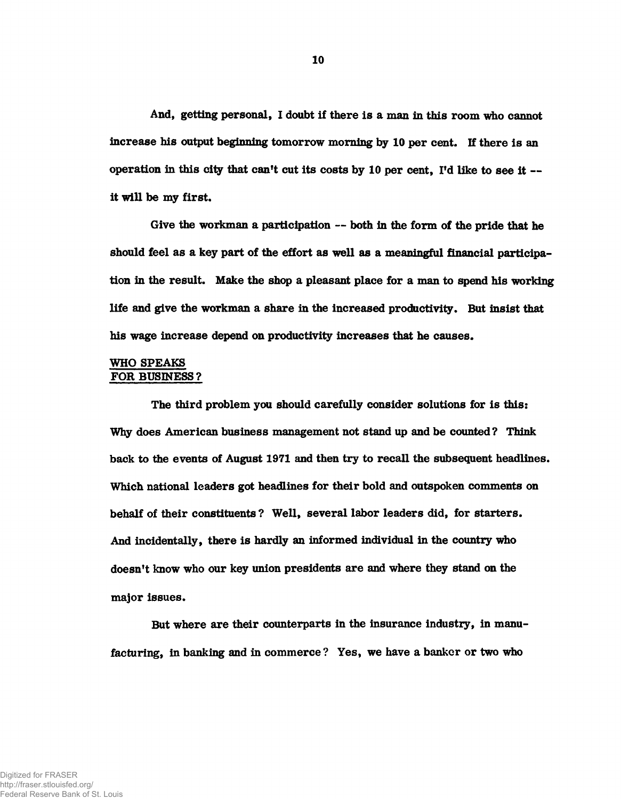And, getting personal, I doubt if there is a man in this room who cannot increase his output beginning tomorrow morning by 10 per cent. If there is an operation in this city that can't cut its costs by 10 per cent, I'd like to see it it will be my first.

Give the workman a participation — both in the form of the pride that he should feel as a key part of the effort as well as a meaningful financial participation in the result. Make the shop a pleasant place for a **man** to spend his working life and give the workman a share in the increased productivity. But insist that his wage increase depend on productivity increases that he causes.

# WHO SPEAKS FOR BUSINESS?

The third problem you should carefully consider solutions for is this: Why does American business management not stand up and be counted? Think back to the events of August 1971 and then try to recall the subsequent headlines. Which national leaders got headlines for their bold and outspoken comments on behalf of their constituents ? Well, several labor leaders did, for starters. And incidentally, there is hardly an informed individual in the country who doesn't know who our key union presidents are and where they stand on the major issues.

But where are their counterparts in the insurance industry, in manufacturing, in banking and in commerce ? Yes, we have a banker or two who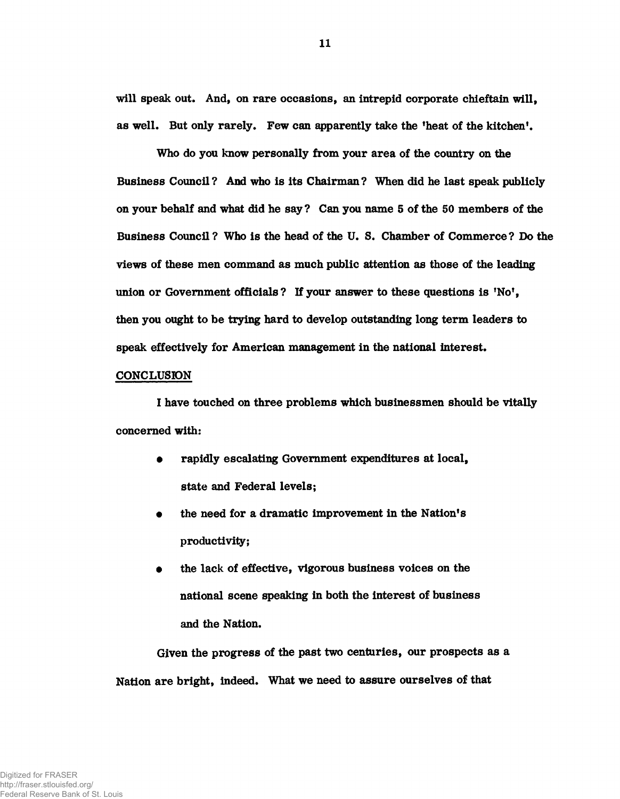will speak out. And, on rare occasions, an intrepid corporate chieftain will, as well. But only rarely. Few can apparently take the 'heat of the kitchen'.

Who do you know personally from your area of the country on the Business Council? And who is its Chairman? When did he last speak publicly on your behalf and what did he say? Can you name 5 of the 50 members of the Business Council? Who is the head of the U. S. Chamber of Commerce? Do the views of these men command as much public attention as those of the leading union or Government officials? If your answer to these questions is 'No', then you ought to be trying hard to develop outstanding long term leaders to speak effectively for American management in the national interest.

#### CONCLUSION

I have touched on three problems which businessmen should be vitally concerned with:

- rapidly escalating Government expenditures at local, state and Federal levels;
- the need for a dramatic improvement in the Nation's productivity;
- the lack of effective, vigorous business voices on the national scene speaking in both the interest of business and the Nation.

Given the progress of the past two centuries, our prospects as a Nation are bright, indeed. What we need to assure ourselves of that